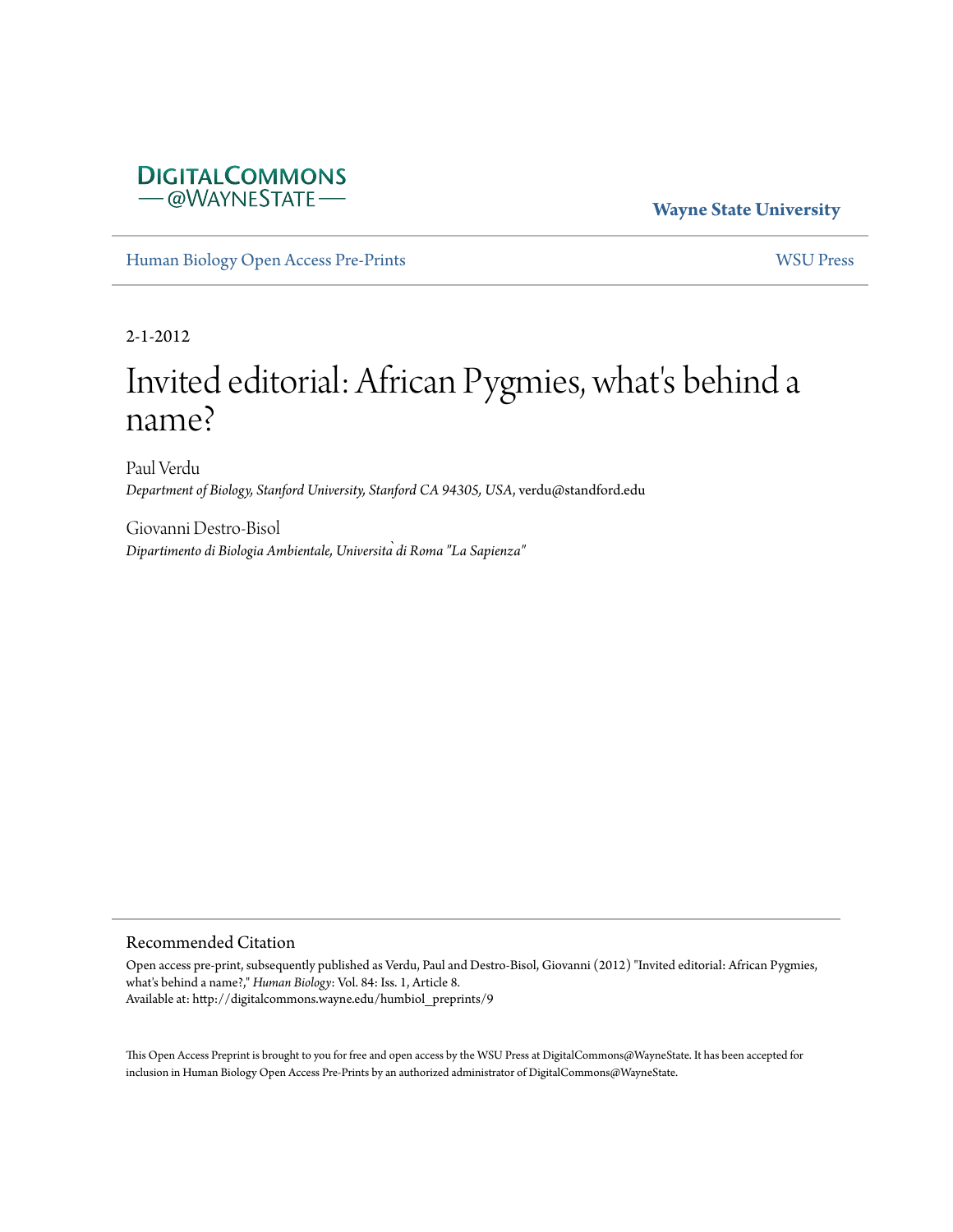### **DIGITALCOMMONS** - @WAYNESTATE-

**Wayne State University**

[Human Biology Open Access Pre-Prints](http://digitalcommons.wayne.edu/humbiol_preprints) [WSU Press](http://digitalcommons.wayne.edu/wsupress)

2-1-2012

# Invited editorial: African Pygmies, what's behind a name?

Paul Verdu *Department of Biology, Stanford University, Stanford CA 94305, USA*, verdu@standford.edu

Giovanni Destro-Bisol *Dipartimento di Biologia Ambientale, Università di Roma "La Sapienza"*

#### Recommended Citation

Open access pre-print, subsequently published as Verdu, Paul and Destro-Bisol, Giovanni (2012) "Invited editorial: African Pygmies, what's behind a name?," *Human Biology*: Vol. 84: Iss. 1, Article 8. Available at: http://digitalcommons.wayne.edu/humbiol\_preprints/9

This Open Access Preprint is brought to you for free and open access by the WSU Press at DigitalCommons@WayneState. It has been accepted for inclusion in Human Biology Open Access Pre-Prints by an authorized administrator of DigitalCommons@WayneState.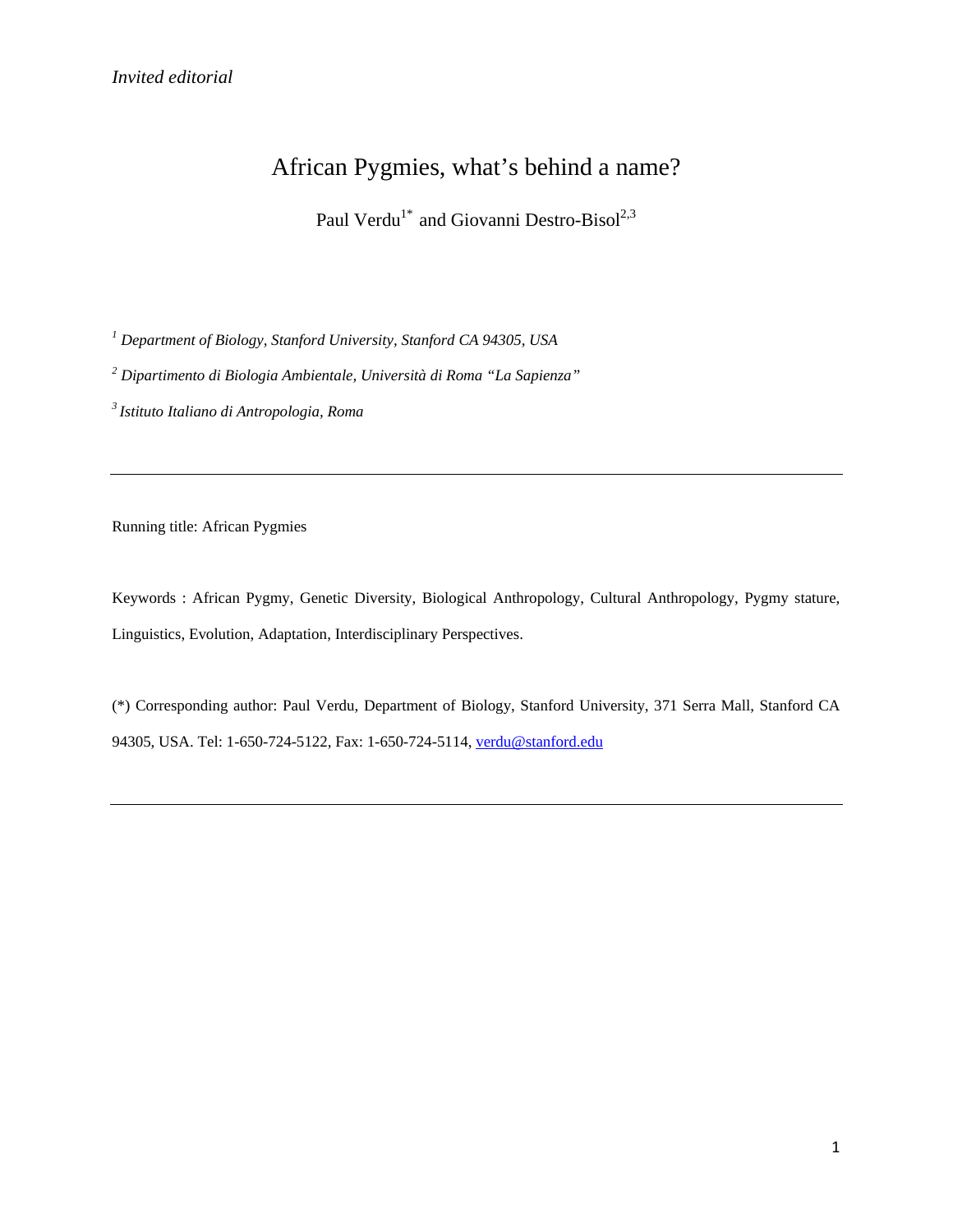## African Pygmies, what's behind a name?

Paul Verdu<sup>1\*</sup> and Giovanni Destro-Bisol<sup>2,3</sup>

*<sup>1</sup> Department of Biology, Stanford University, Stanford CA 94305, USA*

*<sup>2</sup> Dipartimento di Biologia Ambientale, Università di Roma "La Sapienza"*

*3 Istituto Italiano di Antropologia, Roma*

Running title: African Pygmies

Keywords : African Pygmy, Genetic Diversity, Biological Anthropology, Cultural Anthropology, Pygmy stature, Linguistics, Evolution, Adaptation, Interdisciplinary Perspectives.

(\*) Corresponding author: Paul Verdu, Department of Biology, Stanford University, 371 Serra Mall, Stanford CA 94305, USA. Tel: 1-650-724-5122, Fax: 1-650-724-5114, [verdu@stanford.edu](mailto:verdu@stanford.edu)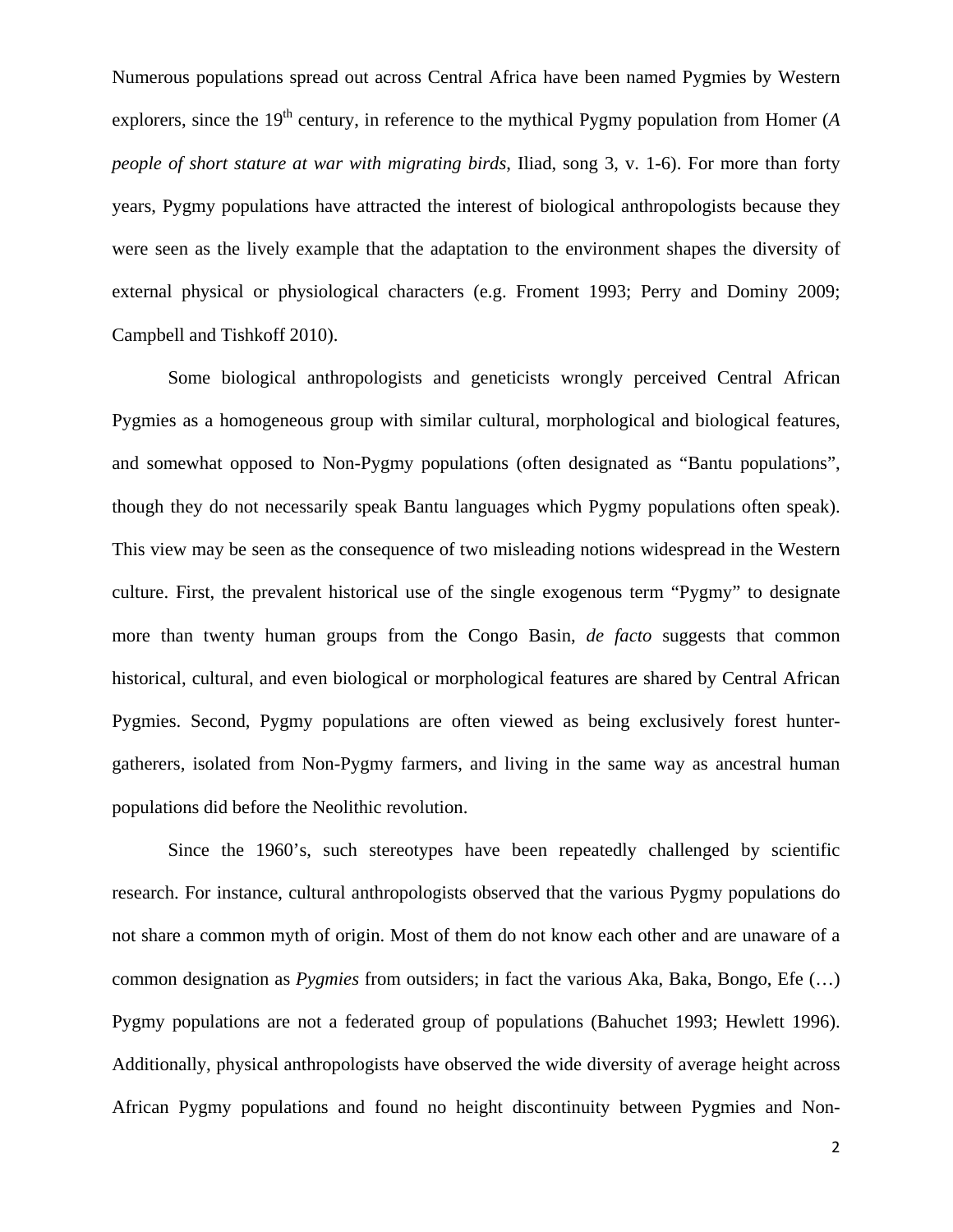Numerous populations spread out across Central Africa have been named Pygmies by Western explorers, since the 19<sup>th</sup> century, in reference to the mythical Pygmy population from Homer (*A people of short stature at war with migrating birds*, Iliad, song 3, v. 1-6). For more than forty years, Pygmy populations have attracted the interest of biological anthropologists because they were seen as the lively example that the adaptation to the environment shapes the diversity of external physical or physiological characters (e.g. Froment 1993; Perry and Dominy 2009; Campbell and Tishkoff 2010).

Some biological anthropologists and geneticists wrongly perceived Central African Pygmies as a homogeneous group with similar cultural, morphological and biological features, and somewhat opposed to Non-Pygmy populations (often designated as "Bantu populations", though they do not necessarily speak Bantu languages which Pygmy populations often speak). This view may be seen as the consequence of two misleading notions widespread in the Western culture. First, the prevalent historical use of the single exogenous term "Pygmy" to designate more than twenty human groups from the Congo Basin, *de facto* suggests that common historical, cultural, and even biological or morphological features are shared by Central African Pygmies. Second, Pygmy populations are often viewed as being exclusively forest huntergatherers, isolated from Non-Pygmy farmers, and living in the same way as ancestral human populations did before the Neolithic revolution.

Since the 1960's, such stereotypes have been repeatedly challenged by scientific research. For instance, cultural anthropologists observed that the various Pygmy populations do not share a common myth of origin. Most of them do not know each other and are unaware of a common designation as *Pygmies* from outsiders; in fact the various Aka, Baka, Bongo, Efe (…) Pygmy populations are not a federated group of populations (Bahuchet 1993; Hewlett 1996). Additionally, physical anthropologists have observed the wide diversity of average height across African Pygmy populations and found no height discontinuity between Pygmies and Non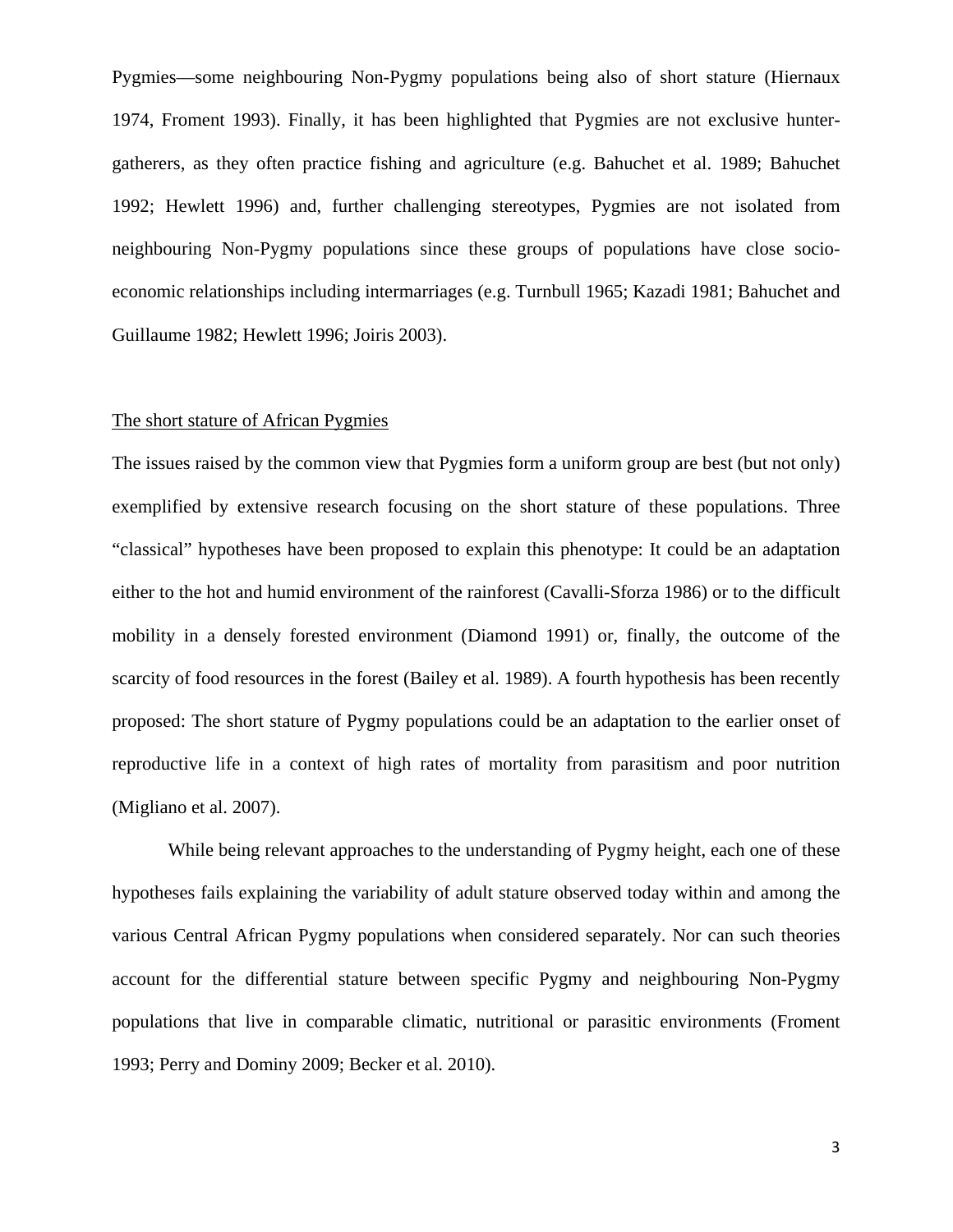Pygmies—some neighbouring Non-Pygmy populations being also of short stature (Hiernaux 1974, Froment 1993). Finally, it has been highlighted that Pygmies are not exclusive huntergatherers, as they often practice fishing and agriculture (e.g. Bahuchet et al. 1989; Bahuchet 1992; Hewlett 1996) and, further challenging stereotypes, Pygmies are not isolated from neighbouring Non-Pygmy populations since these groups of populations have close socioeconomic relationships including intermarriages (e.g. Turnbull 1965; Kazadi 1981; Bahuchet and Guillaume 1982; Hewlett 1996; Joiris 2003).

#### The short stature of African Pygmies

The issues raised by the common view that Pygmies form a uniform group are best (but not only) exemplified by extensive research focusing on the short stature of these populations. Three "classical" hypotheses have been proposed to explain this phenotype: It could be an adaptation either to the hot and humid environment of the rainforest (Cavalli-Sforza 1986) or to the difficult mobility in a densely forested environment (Diamond 1991) or, finally, the outcome of the scarcity of food resources in the forest (Bailey et al. 1989). A fourth hypothesis has been recently proposed: The short stature of Pygmy populations could be an adaptation to the earlier onset of reproductive life in a context of high rates of mortality from parasitism and poor nutrition (Migliano et al. 2007).

While being relevant approaches to the understanding of Pygmy height, each one of these hypotheses fails explaining the variability of adult stature observed today within and among the various Central African Pygmy populations when considered separately. Nor can such theories account for the differential stature between specific Pygmy and neighbouring Non-Pygmy populations that live in comparable climatic, nutritional or parasitic environments (Froment 1993; Perry and Dominy 2009; Becker et al. 2010).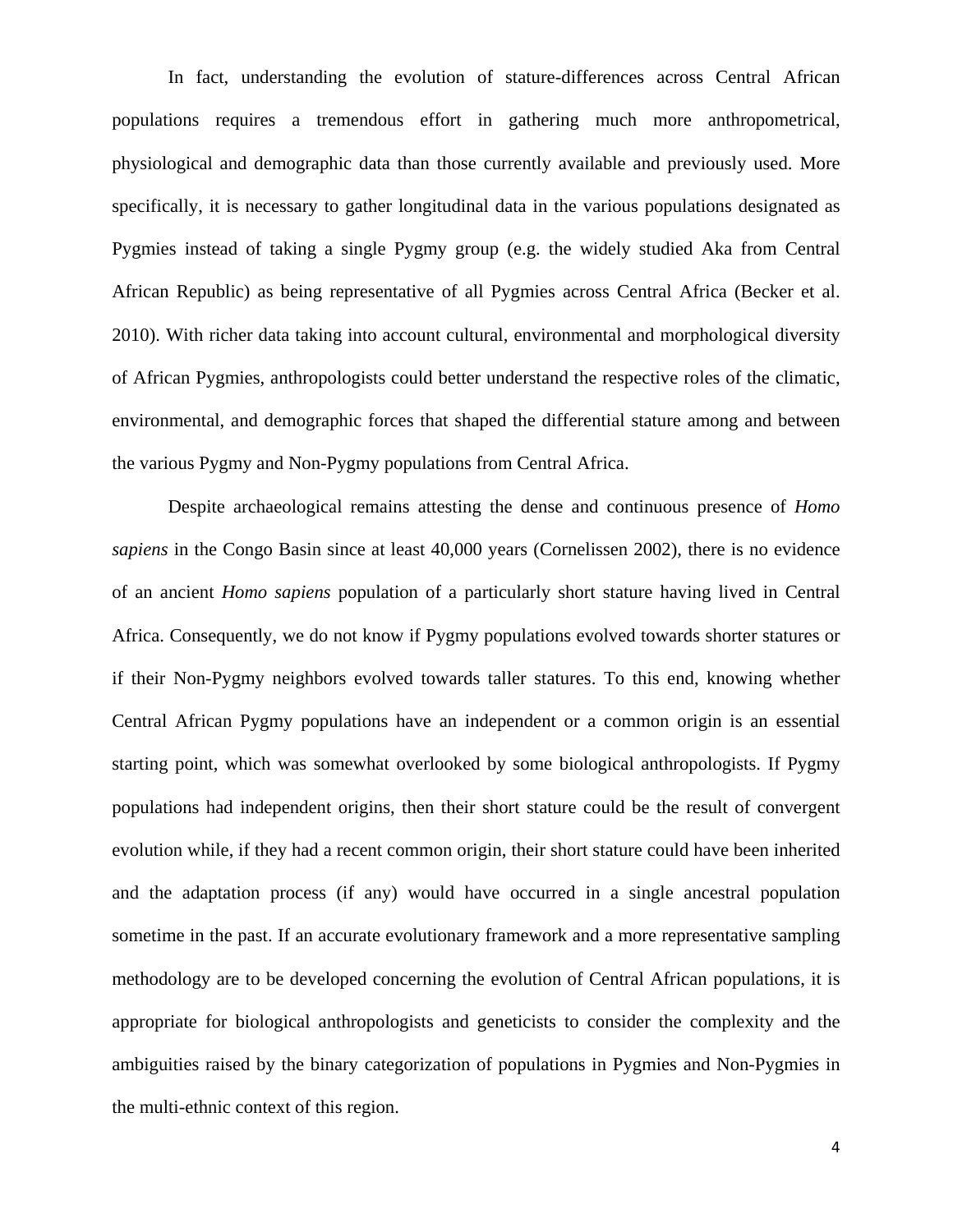In fact, understanding the evolution of stature-differences across Central African populations requires a tremendous effort in gathering much more anthropometrical, physiological and demographic data than those currently available and previously used. More specifically, it is necessary to gather longitudinal data in the various populations designated as Pygmies instead of taking a single Pygmy group (e.g. the widely studied Aka from Central African Republic) as being representative of all Pygmies across Central Africa (Becker et al. 2010). With richer data taking into account cultural, environmental and morphological diversity of African Pygmies, anthropologists could better understand the respective roles of the climatic, environmental, and demographic forces that shaped the differential stature among and between the various Pygmy and Non-Pygmy populations from Central Africa.

Despite archaeological remains attesting the dense and continuous presence of *Homo sapiens* in the Congo Basin since at least 40,000 years (Cornelissen 2002), there is no evidence of an ancient *Homo sapiens* population of a particularly short stature having lived in Central Africa. Consequently, we do not know if Pygmy populations evolved towards shorter statures or if their Non-Pygmy neighbors evolved towards taller statures. To this end, knowing whether Central African Pygmy populations have an independent or a common origin is an essential starting point, which was somewhat overlooked by some biological anthropologists. If Pygmy populations had independent origins, then their short stature could be the result of convergent evolution while, if they had a recent common origin, their short stature could have been inherited and the adaptation process (if any) would have occurred in a single ancestral population sometime in the past. If an accurate evolutionary framework and a more representative sampling methodology are to be developed concerning the evolution of Central African populations, it is appropriate for biological anthropologists and geneticists to consider the complexity and the ambiguities raised by the binary categorization of populations in Pygmies and Non-Pygmies in the multi-ethnic context of this region.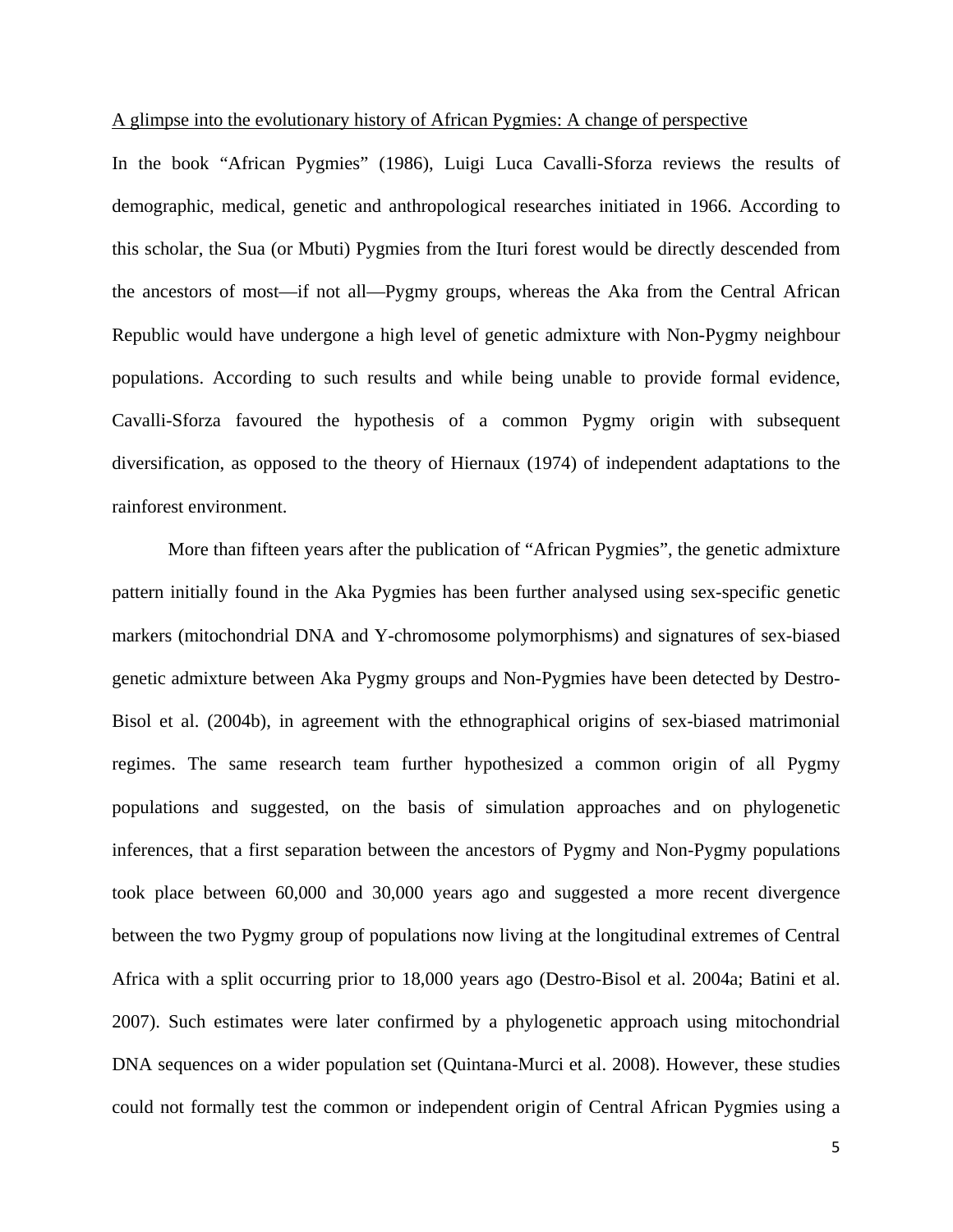#### A glimpse into the evolutionary history of African Pygmies: A change of perspective

In the book "African Pygmies" (1986), Luigi Luca Cavalli-Sforza reviews the results of demographic, medical, genetic and anthropological researches initiated in 1966. According to this scholar, the Sua (or Mbuti) Pygmies from the Ituri forest would be directly descended from the ancestors of most—if not all—Pygmy groups, whereas the Aka from the Central African Republic would have undergone a high level of genetic admixture with Non-Pygmy neighbour populations. According to such results and while being unable to provide formal evidence, Cavalli-Sforza favoured the hypothesis of a common Pygmy origin with subsequent diversification, as opposed to the theory of Hiernaux (1974) of independent adaptations to the rainforest environment.

More than fifteen years after the publication of "African Pygmies", the genetic admixture pattern initially found in the Aka Pygmies has been further analysed using sex-specific genetic markers (mitochondrial DNA and Y-chromosome polymorphisms) and signatures of sex-biased genetic admixture between Aka Pygmy groups and Non-Pygmies have been detected by Destro-Bisol et al. (2004b), in agreement with the ethnographical origins of sex-biased matrimonial regimes. The same research team further hypothesized a common origin of all Pygmy populations and suggested, on the basis of simulation approaches and on phylogenetic inferences, that a first separation between the ancestors of Pygmy and Non-Pygmy populations took place between 60,000 and 30,000 years ago and suggested a more recent divergence between the two Pygmy group of populations now living at the longitudinal extremes of Central Africa with a split occurring prior to 18,000 years ago (Destro-Bisol et al. 2004a; Batini et al. 2007). Such estimates were later confirmed by a phylogenetic approach using mitochondrial DNA sequences on a wider population set (Quintana-Murci et al. 2008). However, these studies could not formally test the common or independent origin of Central African Pygmies using a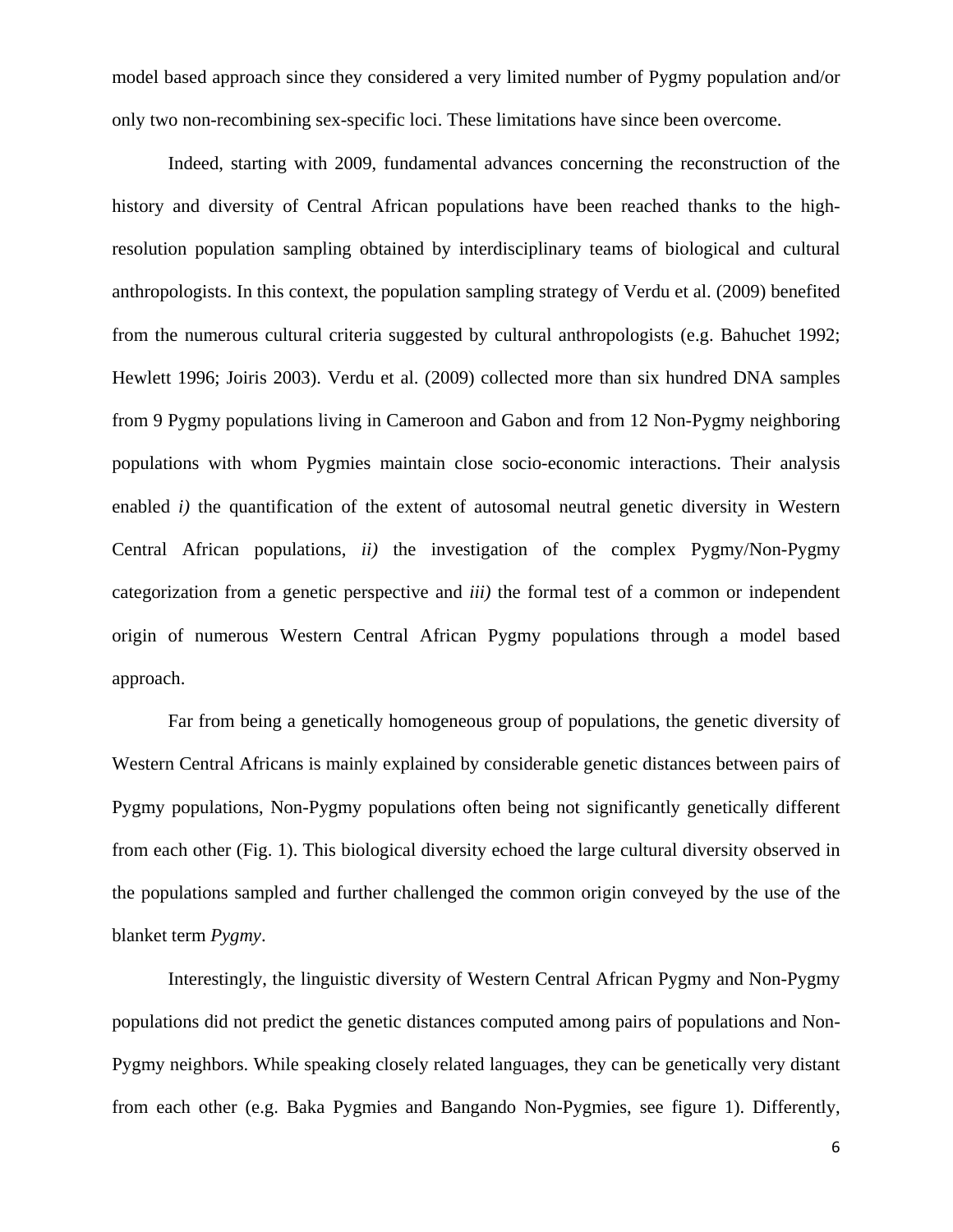model based approach since they considered a very limited number of Pygmy population and/or only two non-recombining sex-specific loci. These limitations have since been overcome.

Indeed, starting with 2009, fundamental advances concerning the reconstruction of the history and diversity of Central African populations have been reached thanks to the highresolution population sampling obtained by interdisciplinary teams of biological and cultural anthropologists. In this context, the population sampling strategy of Verdu et al. (2009) benefited from the numerous cultural criteria suggested by cultural anthropologists (e.g. Bahuchet 1992; Hewlett 1996; Joiris 2003). Verdu et al. (2009) collected more than six hundred DNA samples from 9 Pygmy populations living in Cameroon and Gabon and from 12 Non-Pygmy neighboring populations with whom Pygmies maintain close socio-economic interactions. Their analysis enabled *i*) the quantification of the extent of autosomal neutral genetic diversity in Western Central African populations, *ii)* the investigation of the complex Pygmy/Non-Pygmy categorization from a genetic perspective and *iii)* the formal test of a common or independent origin of numerous Western Central African Pygmy populations through a model based approach.

Far from being a genetically homogeneous group of populations, the genetic diversity of Western Central Africans is mainly explained by considerable genetic distances between pairs of Pygmy populations, Non-Pygmy populations often being not significantly genetically different from each other (Fig. 1). This biological diversity echoed the large cultural diversity observed in the populations sampled and further challenged the common origin conveyed by the use of the blanket term *Pygmy*.

Interestingly, the linguistic diversity of Western Central African Pygmy and Non-Pygmy populations did not predict the genetic distances computed among pairs of populations and Non-Pygmy neighbors. While speaking closely related languages, they can be genetically very distant from each other (e.g. Baka Pygmies and Bangando Non-Pygmies, see figure 1). Differently,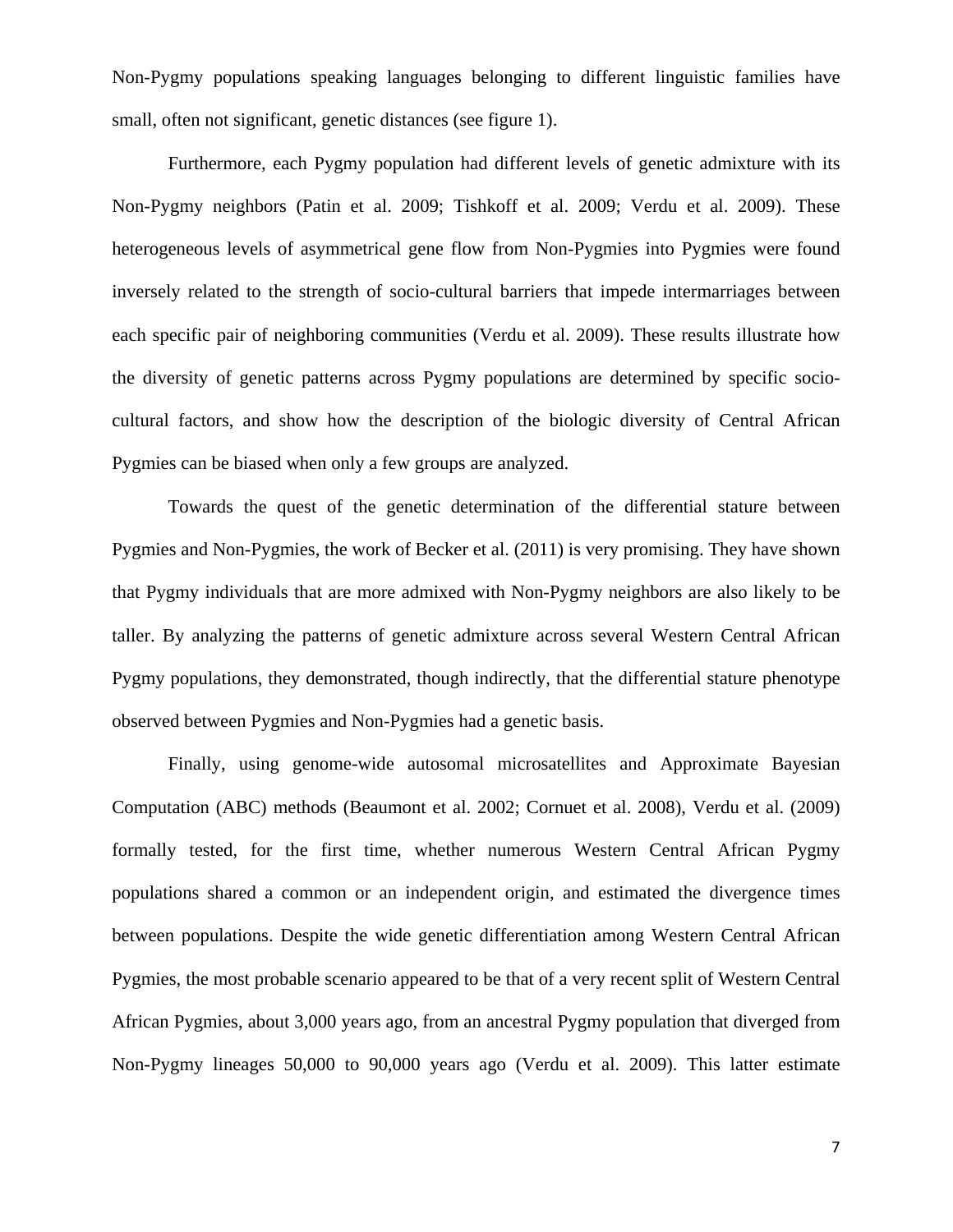Non-Pygmy populations speaking languages belonging to different linguistic families have small, often not significant, genetic distances (see figure 1).

Furthermore, each Pygmy population had different levels of genetic admixture with its Non-Pygmy neighbors (Patin et al. 2009; Tishkoff et al. 2009; Verdu et al. 2009). These heterogeneous levels of asymmetrical gene flow from Non-Pygmies into Pygmies were found inversely related to the strength of socio-cultural barriers that impede intermarriages between each specific pair of neighboring communities (Verdu et al. 2009). These results illustrate how the diversity of genetic patterns across Pygmy populations are determined by specific sociocultural factors, and show how the description of the biologic diversity of Central African Pygmies can be biased when only a few groups are analyzed.

Towards the quest of the genetic determination of the differential stature between Pygmies and Non-Pygmies, the work of Becker et al. (2011) is very promising. They have shown that Pygmy individuals that are more admixed with Non-Pygmy neighbors are also likely to be taller. By analyzing the patterns of genetic admixture across several Western Central African Pygmy populations, they demonstrated, though indirectly, that the differential stature phenotype observed between Pygmies and Non-Pygmies had a genetic basis.

Finally, using genome-wide autosomal microsatellites and Approximate Bayesian Computation (ABC) methods (Beaumont et al. 2002; Cornuet et al. 2008), Verdu et al. (2009) formally tested, for the first time, whether numerous Western Central African Pygmy populations shared a common or an independent origin, and estimated the divergence times between populations. Despite the wide genetic differentiation among Western Central African Pygmies, the most probable scenario appeared to be that of a very recent split of Western Central African Pygmies, about 3,000 years ago, from an ancestral Pygmy population that diverged from Non-Pygmy lineages 50,000 to 90,000 years ago (Verdu et al. 2009). This latter estimate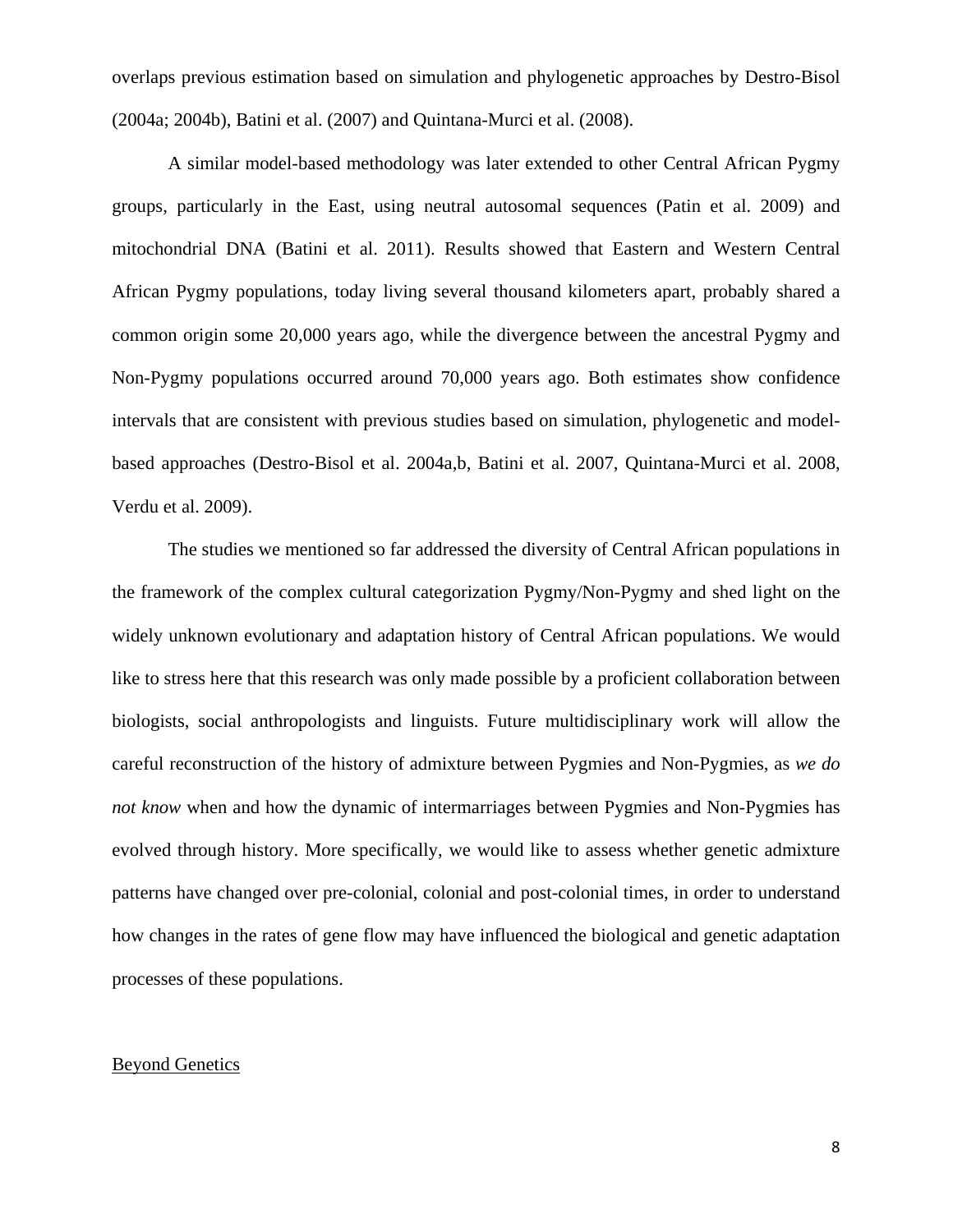overlaps previous estimation based on simulation and phylogenetic approaches by Destro-Bisol (2004a; 2004b), Batini et al. (2007) and Quintana-Murci et al. (2008).

A similar model-based methodology was later extended to other Central African Pygmy groups, particularly in the East, using neutral autosomal sequences (Patin et al. 2009) and mitochondrial DNA (Batini et al. 2011). Results showed that Eastern and Western Central African Pygmy populations, today living several thousand kilometers apart, probably shared a common origin some 20,000 years ago, while the divergence between the ancestral Pygmy and Non-Pygmy populations occurred around 70,000 years ago. Both estimates show confidence intervals that are consistent with previous studies based on simulation, phylogenetic and modelbased approaches (Destro-Bisol et al. 2004a,b, Batini et al. 2007, Quintana-Murci et al. 2008, Verdu et al. 2009).

The studies we mentioned so far addressed the diversity of Central African populations in the framework of the complex cultural categorization Pygmy/Non-Pygmy and shed light on the widely unknown evolutionary and adaptation history of Central African populations. We would like to stress here that this research was only made possible by a proficient collaboration between biologists, social anthropologists and linguists. Future multidisciplinary work will allow the careful reconstruction of the history of admixture between Pygmies and Non-Pygmies, as *we do not know* when and how the dynamic of intermarriages between Pygmies and Non-Pygmies has evolved through history. More specifically, we would like to assess whether genetic admixture patterns have changed over pre-colonial, colonial and post-colonial times, in order to understand how changes in the rates of gene flow may have influenced the biological and genetic adaptation processes of these populations.

#### Beyond Genetics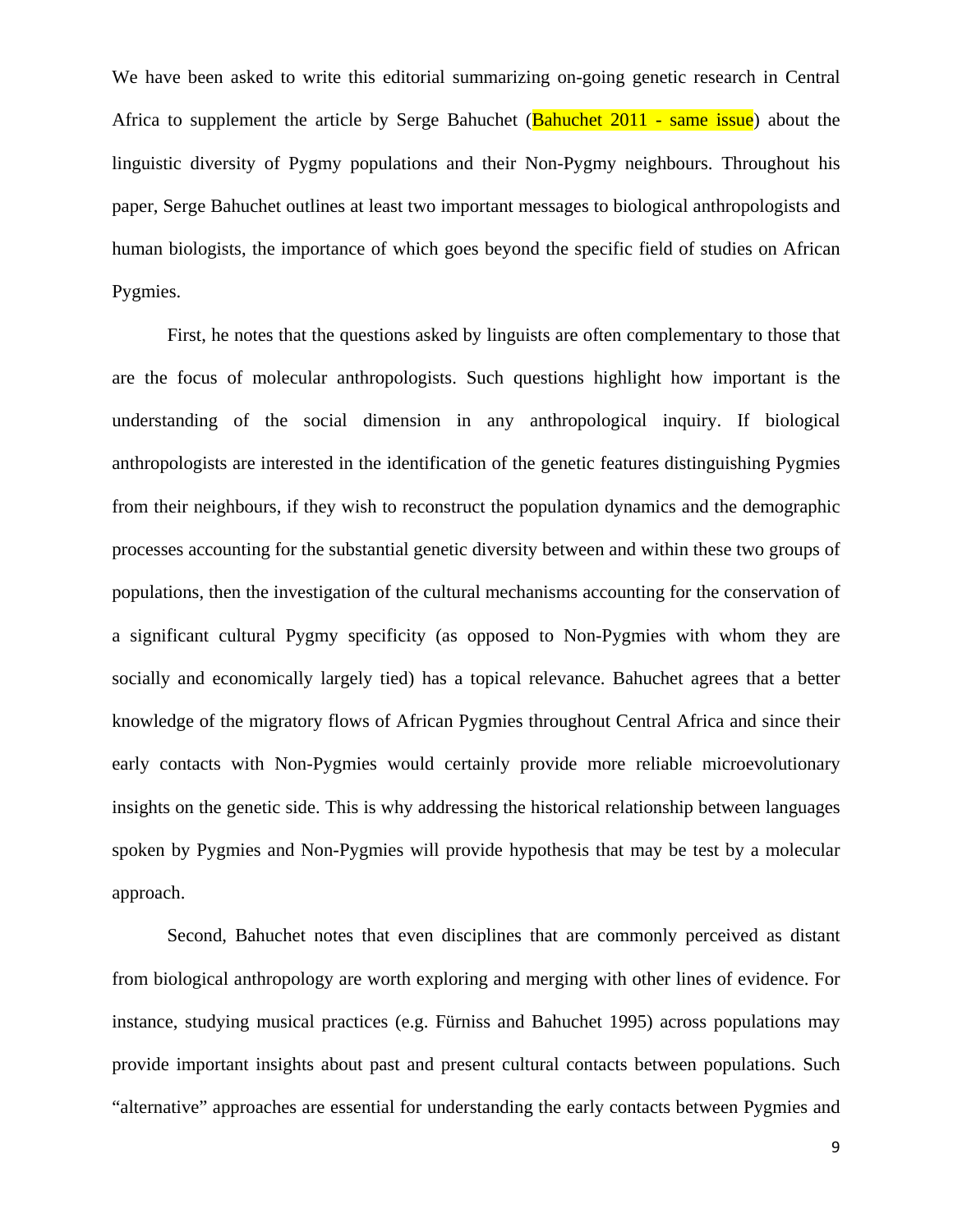We have been asked to write this editorial summarizing on-going genetic research in Central Africa to supplement the article by Serge Bahuchet (Bahuchet 2011 - same issue) about the linguistic diversity of Pygmy populations and their Non-Pygmy neighbours. Throughout his paper, Serge Bahuchet outlines at least two important messages to biological anthropologists and human biologists, the importance of which goes beyond the specific field of studies on African Pygmies.

First, he notes that the questions asked by linguists are often complementary to those that are the focus of molecular anthropologists. Such questions highlight how important is the understanding of the social dimension in any anthropological inquiry. If biological anthropologists are interested in the identification of the genetic features distinguishing Pygmies from their neighbours, if they wish to reconstruct the population dynamics and the demographic processes accounting for the substantial genetic diversity between and within these two groups of populations, then the investigation of the cultural mechanisms accounting for the conservation of a significant cultural Pygmy specificity (as opposed to Non-Pygmies with whom they are socially and economically largely tied) has a topical relevance. Bahuchet agrees that a better knowledge of the migratory flows of African Pygmies throughout Central Africa and since their early contacts with Non-Pygmies would certainly provide more reliable microevolutionary insights on the genetic side. This is why addressing the historical relationship between languages spoken by Pygmies and Non-Pygmies will provide hypothesis that may be test by a molecular approach.

Second, Bahuchet notes that even disciplines that are commonly perceived as distant from biological anthropology are worth exploring and merging with other lines of evidence. For instance, studying musical practices (e.g. Fürniss and Bahuchet 1995) across populations may provide important insights about past and present cultural contacts between populations. Such "alternative" approaches are essential for understanding the early contacts between Pygmies and

9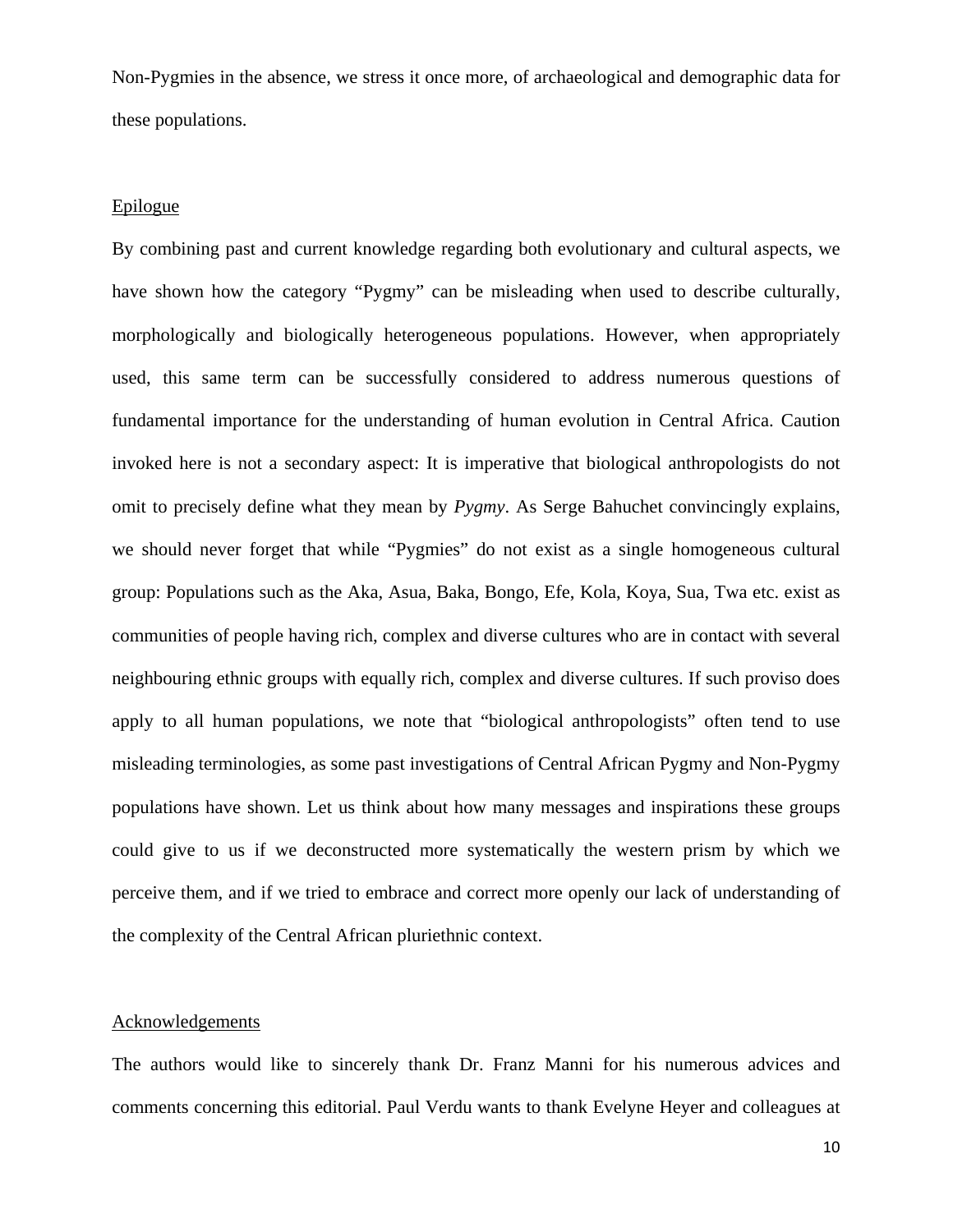Non-Pygmies in the absence, we stress it once more, of archaeological and demographic data for these populations.

#### Epilogue

By combining past and current knowledge regarding both evolutionary and cultural aspects, we have shown how the category "Pygmy" can be misleading when used to describe culturally, morphologically and biologically heterogeneous populations. However, when appropriately used, this same term can be successfully considered to address numerous questions of fundamental importance for the understanding of human evolution in Central Africa. Caution invoked here is not a secondary aspect: It is imperative that biological anthropologists do not omit to precisely define what they mean by *Pygmy*. As Serge Bahuchet convincingly explains, we should never forget that while "Pygmies" do not exist as a single homogeneous cultural group: Populations such as the Aka, Asua, Baka, Bongo, Efe, Kola, Koya, Sua, Twa etc. exist as communities of people having rich, complex and diverse cultures who are in contact with several neighbouring ethnic groups with equally rich, complex and diverse cultures. If such proviso does apply to all human populations, we note that "biological anthropologists" often tend to use misleading terminologies, as some past investigations of Central African Pygmy and Non-Pygmy populations have shown. Let us think about how many messages and inspirations these groups could give to us if we deconstructed more systematically the western prism by which we perceive them, and if we tried to embrace and correct more openly our lack of understanding of the complexity of the Central African pluriethnic context.

#### Acknowledgements

The authors would like to sincerely thank Dr. Franz Manni for his numerous advices and comments concerning this editorial. Paul Verdu wants to thank Evelyne Heyer and colleagues at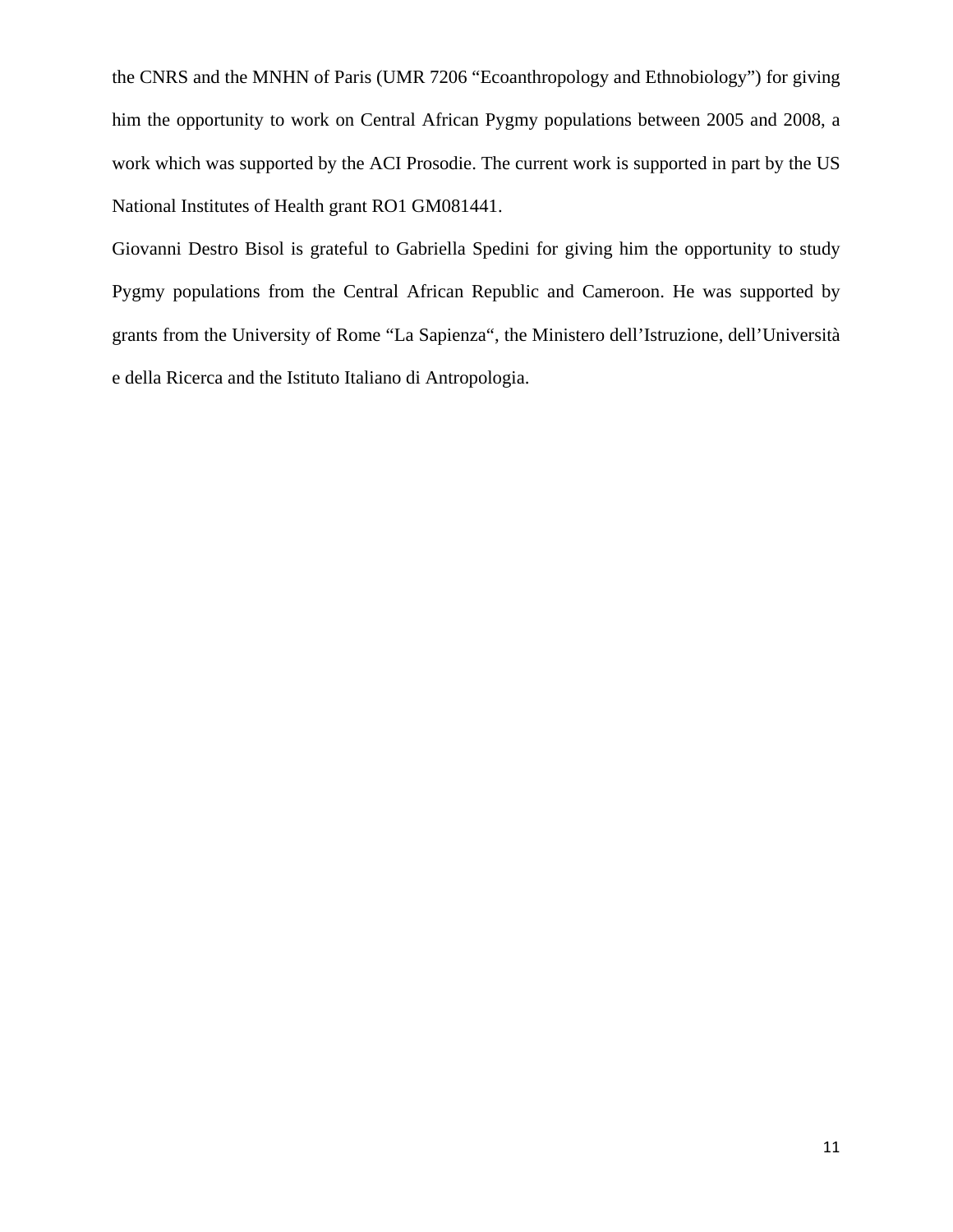the CNRS and the MNHN of Paris (UMR 7206 "Ecoanthropology and Ethnobiology") for giving him the opportunity to work on Central African Pygmy populations between 2005 and 2008, a work which was supported by the ACI Prosodie. The current work is supported in part by the US National Institutes of Health grant RO1 GM081441.

Giovanni Destro Bisol is grateful to Gabriella Spedini for giving him the opportunity to study Pygmy populations from the Central African Republic and Cameroon. He was supported by grants from the University of Rome "La Sapienza", the Ministero dell'Istruzione, dell'Università e della Ricerca and the Istituto Italiano di Antropologia.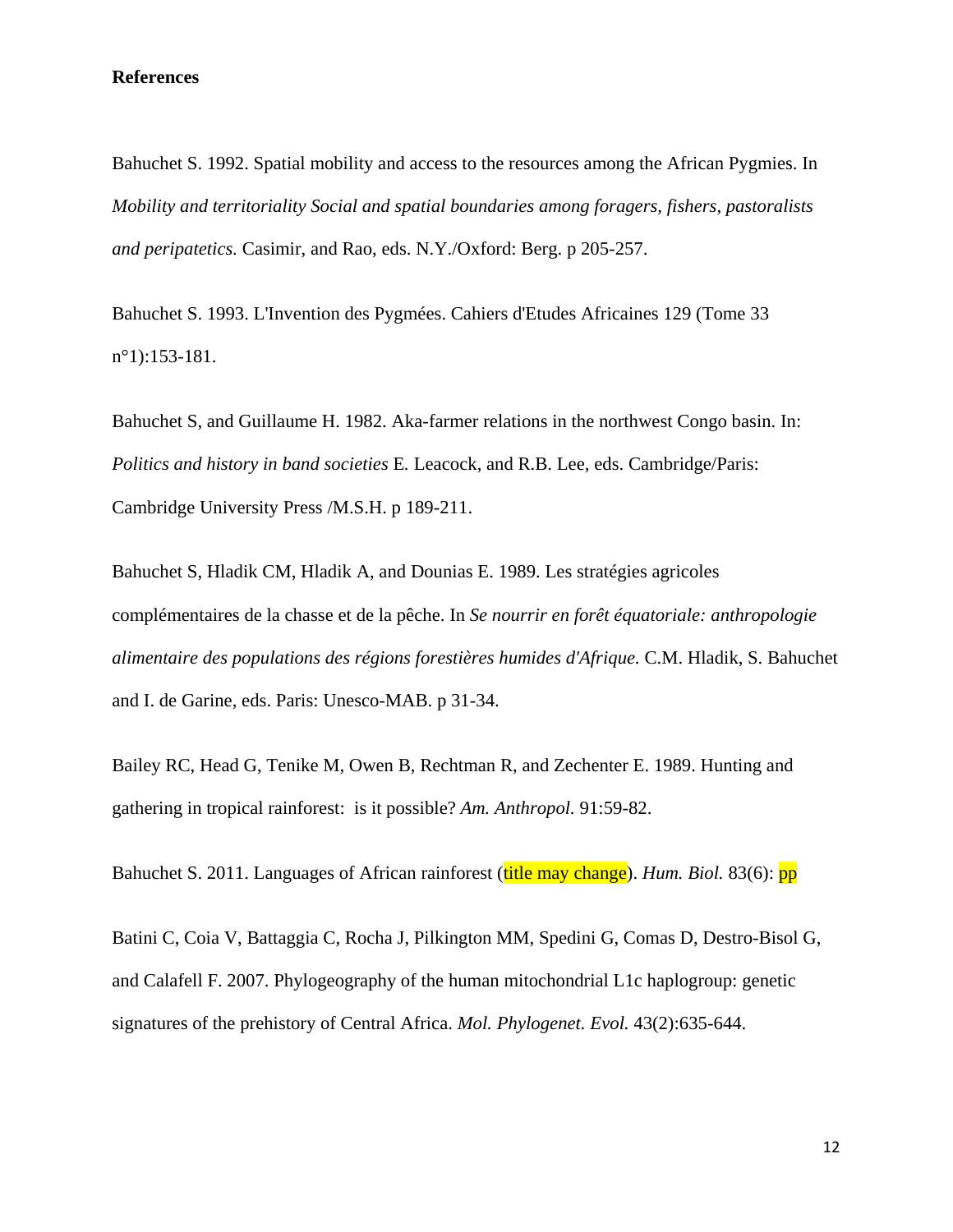#### **References**

Bahuchet S. 1992. Spatial mobility and access to the resources among the African Pygmies. In *Mobility and territoriality Social and spatial boundaries among foragers, fishers, pastoralists and peripatetics.* Casimir, and Rao, eds. N.Y./Oxford: Berg. p 205-257.

Bahuchet S. 1993. L'Invention des Pygmées. Cahiers d'Etudes Africaines 129 (Tome 33 n°1):153-181.

Bahuchet S, and Guillaume H. 1982. Aka-farmer relations in the northwest Congo basin. In: *Politics and history in band societies* E*.* Leacock, and R.B. Lee, eds. Cambridge/Paris: Cambridge University Press /M.S.H. p 189-211.

Bahuchet S, Hladik CM, Hladik A, and Dounias E. 1989. Les stratégies agricoles complémentaires de la chasse et de la pêche. In *Se nourrir en forêt équatoriale: anthropologie alimentaire des populations des régions forestières humides d'Afrique.* C.M. Hladik, S. Bahuchet and I. de Garine, eds. Paris: Unesco-MAB. p 31-34.

Bailey RC, Head G, Tenike M, Owen B, Rechtman R, and Zechenter E. 1989. Hunting and gathering in tropical rainforest: is it possible? *Am. Anthropol.* 91:59-82.

Bahuchet S. 2011. Languages of African rainforest (title may change). *Hum. Biol.* 83(6): pp

Batini C, Coia V, Battaggia C, Rocha J, Pilkington MM, Spedini G, Comas D, Destro-Bisol G, and Calafell F. 2007. Phylogeography of the human mitochondrial L1c haplogroup: genetic signatures of the prehistory of Central Africa. *Mol. Phylogenet. Evol.* 43(2):635-644.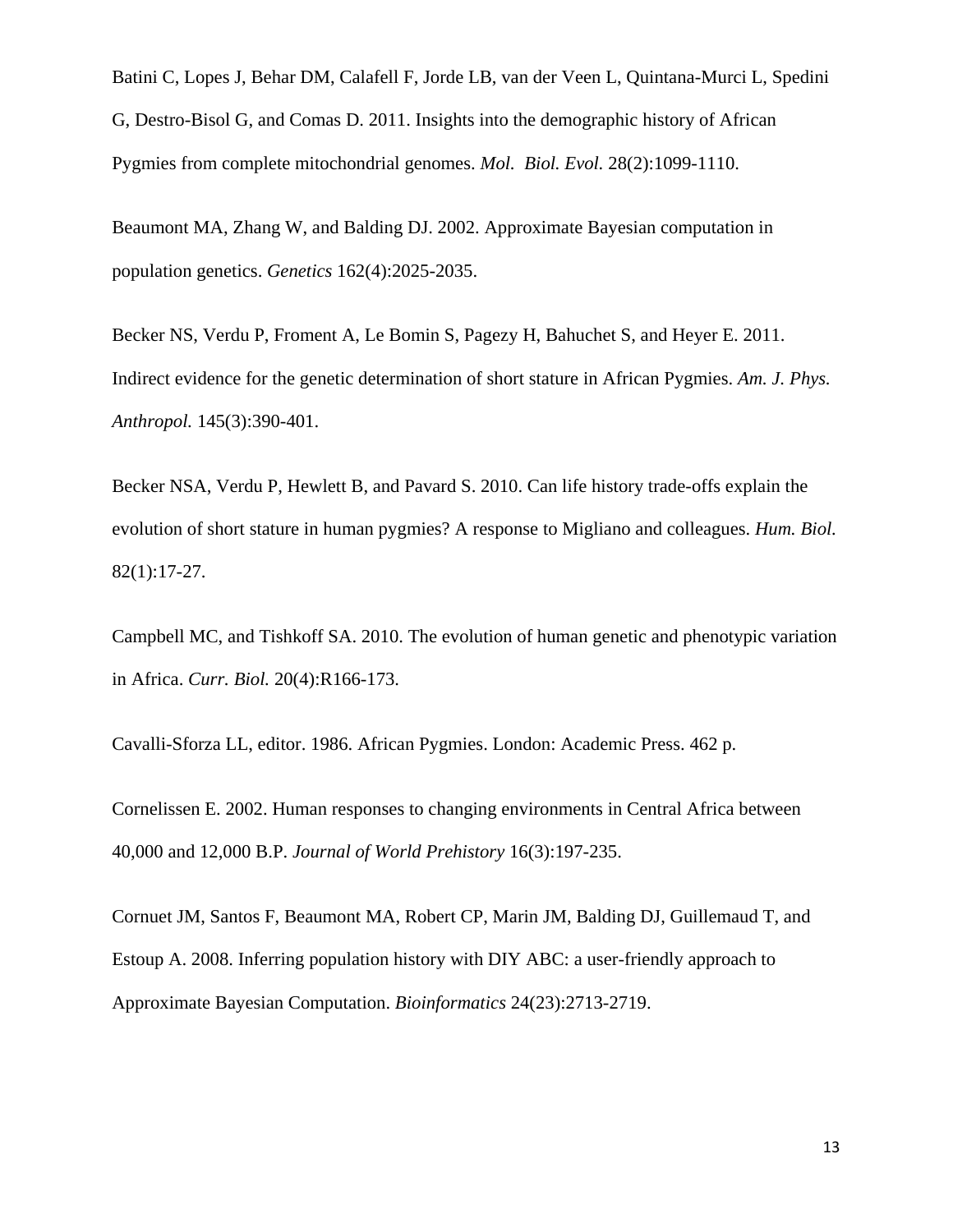Batini C, Lopes J, Behar DM, Calafell F, Jorde LB, van der Veen L, Quintana-Murci L, Spedini G, Destro-Bisol G, and Comas D. 2011. Insights into the demographic history of African Pygmies from complete mitochondrial genomes. *Mol. Biol. Evol.* 28(2):1099-1110.

Beaumont MA, Zhang W, and Balding DJ. 2002. Approximate Bayesian computation in population genetics. *Genetics* 162(4):2025-2035.

Becker NS, Verdu P, Froment A, Le Bomin S, Pagezy H, Bahuchet S, and Heyer E. 2011. Indirect evidence for the genetic determination of short stature in African Pygmies. *Am. J. Phys. Anthropol.* 145(3):390-401.

Becker NSA, Verdu P, Hewlett B, and Pavard S. 2010. Can life history trade-offs explain the evolution of short stature in human pygmies? A response to Migliano and colleagues. *Hum. Biol.* 82(1):17-27.

Campbell MC, and Tishkoff SA. 2010. The evolution of human genetic and phenotypic variation in Africa. *Curr. Biol.* 20(4):R166-173.

Cavalli-Sforza LL, editor. 1986. African Pygmies. London: Academic Press. 462 p.

Cornelissen E. 2002. Human responses to changing environments in Central Africa between 40,000 and 12,000 B.P. *Journal of World Prehistory* 16(3):197-235.

Cornuet JM, Santos F, Beaumont MA, Robert CP, Marin JM, Balding DJ, Guillemaud T, and Estoup A. 2008. Inferring population history with DIY ABC: a user-friendly approach to Approximate Bayesian Computation. *Bioinformatics* 24(23):2713-2719.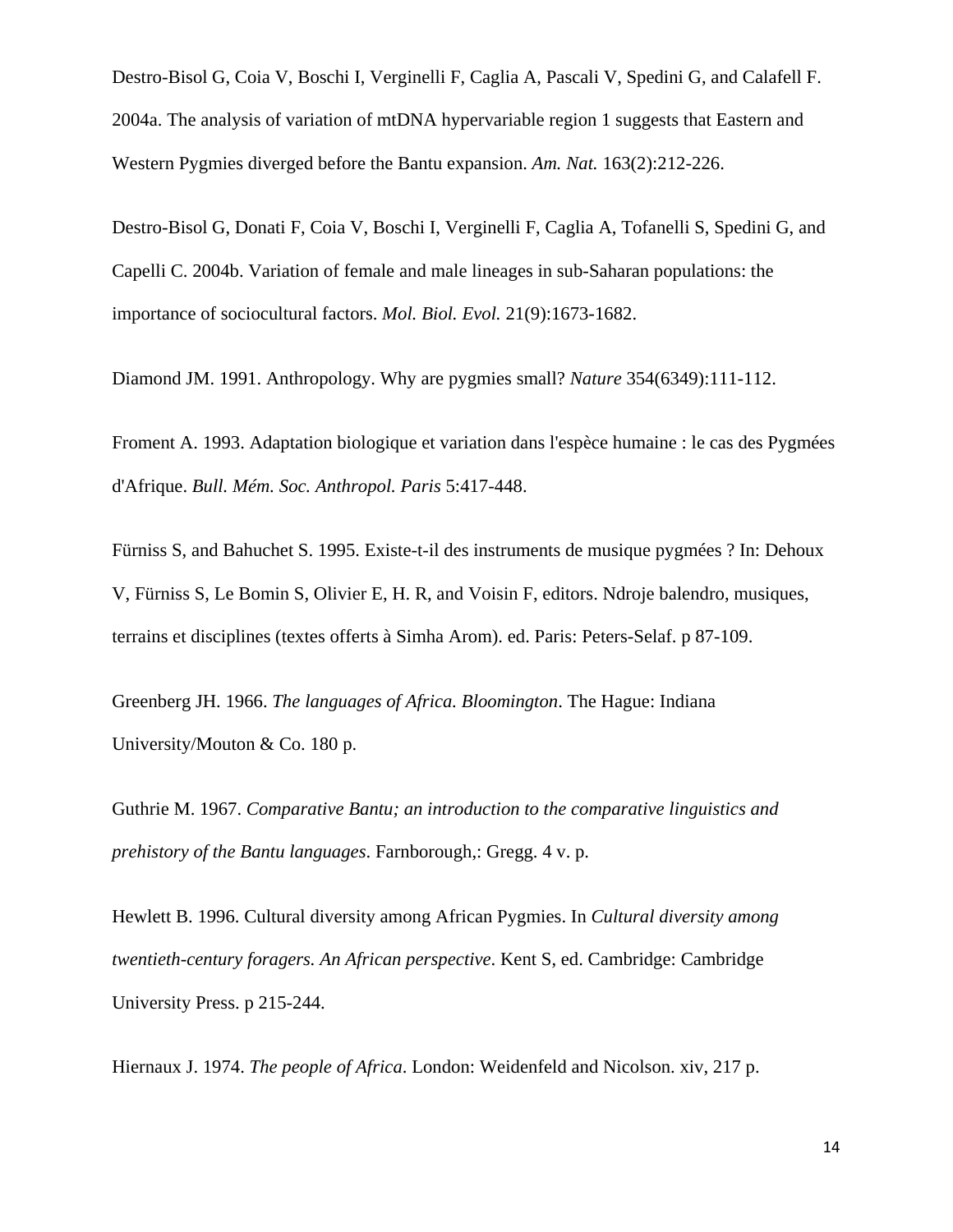Destro-Bisol G, Coia V, Boschi I, Verginelli F, Caglia A, Pascali V, Spedini G, and Calafell F. 2004a. The analysis of variation of mtDNA hypervariable region 1 suggests that Eastern and Western Pygmies diverged before the Bantu expansion. *Am. Nat.* 163(2):212-226.

Destro-Bisol G, Donati F, Coia V, Boschi I, Verginelli F, Caglia A, Tofanelli S, Spedini G, and Capelli C. 2004b. Variation of female and male lineages in sub-Saharan populations: the importance of sociocultural factors. *Mol. Biol. Evol.* 21(9):1673-1682.

Diamond JM. 1991. Anthropology. Why are pygmies small? *Nature* 354(6349):111-112.

Froment A. 1993. Adaptation biologique et variation dans l'espèce humaine : le cas des Pygmées d'Afrique. *Bull. Mém. Soc. Anthropol. Paris* 5:417-448.

Fürniss S, and Bahuchet S. 1995. Existe-t-il des instruments de musique pygmées ? In: Dehoux V, Fürniss S, Le Bomin S, Olivier E, H. R, and Voisin F, editors. Ndroje balendro, musiques, terrains et disciplines (textes offerts à Simha Arom). ed. Paris: Peters-Selaf. p 87-109.

Greenberg JH. 1966. *The languages of Africa. Bloomington*. The Hague: Indiana University/Mouton & Co. 180 p.

Guthrie M. 1967. *Comparative Bantu; an introduction to the comparative linguistics and prehistory of the Bantu languages*. Farnborough,: Gregg. 4 v. p.

Hewlett B. 1996. Cultural diversity among African Pygmies. In *Cultural diversity among twentieth-century foragers. An African perspective*. Kent S, ed. Cambridge: Cambridge University Press. p 215-244.

Hiernaux J. 1974. *The people of Africa*. London: Weidenfeld and Nicolson. xiv, 217 p.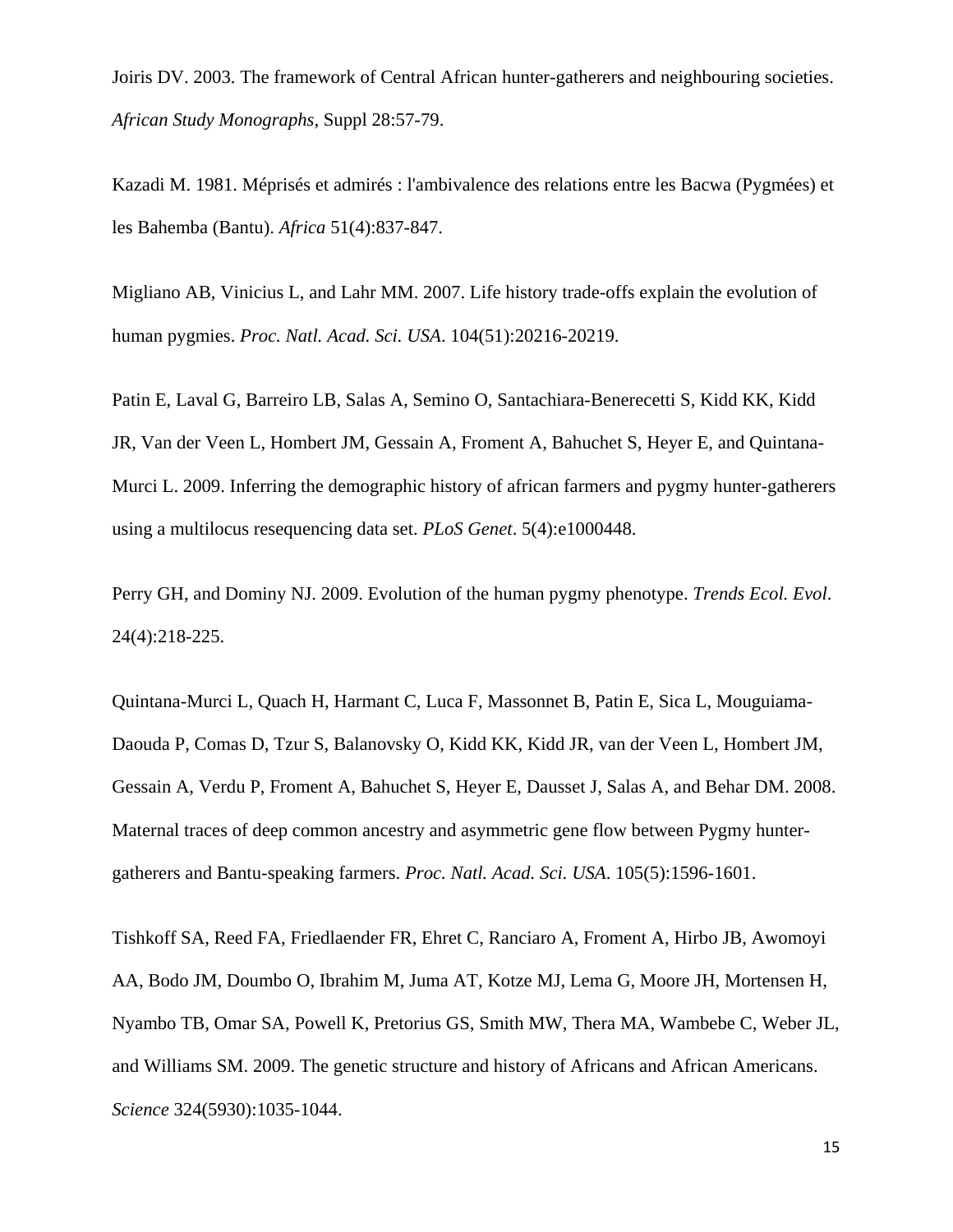Joiris DV. 2003. The framework of Central African hunter-gatherers and neighbouring societies. *African Study Monographs*, Suppl 28:57-79.

Kazadi M. 1981. Méprisés et admirés : l'ambivalence des relations entre les Bacwa (Pygmées) et les Bahemba (Bantu). *Africa* 51(4):837-847.

Migliano AB, Vinicius L, and Lahr MM. 2007. Life history trade-offs explain the evolution of human pygmies. *Proc. Natl. Acad. Sci. USA*. 104(51):20216-20219.

Patin E, Laval G, Barreiro LB, Salas A, Semino O, Santachiara-Benerecetti S, Kidd KK, Kidd JR, Van der Veen L, Hombert JM, Gessain A, Froment A, Bahuchet S, Heyer E, and Quintana-Murci L. 2009. Inferring the demographic history of african farmers and pygmy hunter-gatherers using a multilocus resequencing data set. *PLoS Genet*. 5(4):e1000448.

Perry GH, and Dominy NJ. 2009. Evolution of the human pygmy phenotype. *Trends Ecol. Evol*. 24(4):218-225.

Quintana-Murci L, Quach H, Harmant C, Luca F, Massonnet B, Patin E, Sica L, Mouguiama-Daouda P, Comas D, Tzur S, Balanovsky O, Kidd KK, Kidd JR, van der Veen L, Hombert JM, Gessain A, Verdu P, Froment A, Bahuchet S, Heyer E, Dausset J, Salas A, and Behar DM. 2008. Maternal traces of deep common ancestry and asymmetric gene flow between Pygmy huntergatherers and Bantu-speaking farmers. *Proc. Natl. Acad. Sci. USA*. 105(5):1596-1601.

Tishkoff SA, Reed FA, Friedlaender FR, Ehret C, Ranciaro A, Froment A, Hirbo JB, Awomoyi AA, Bodo JM, Doumbo O, Ibrahim M, Juma AT, Kotze MJ, Lema G, Moore JH, Mortensen H, Nyambo TB, Omar SA, Powell K, Pretorius GS, Smith MW, Thera MA, Wambebe C, Weber JL, and Williams SM. 2009. The genetic structure and history of Africans and African Americans. *Science* 324(5930):1035-1044.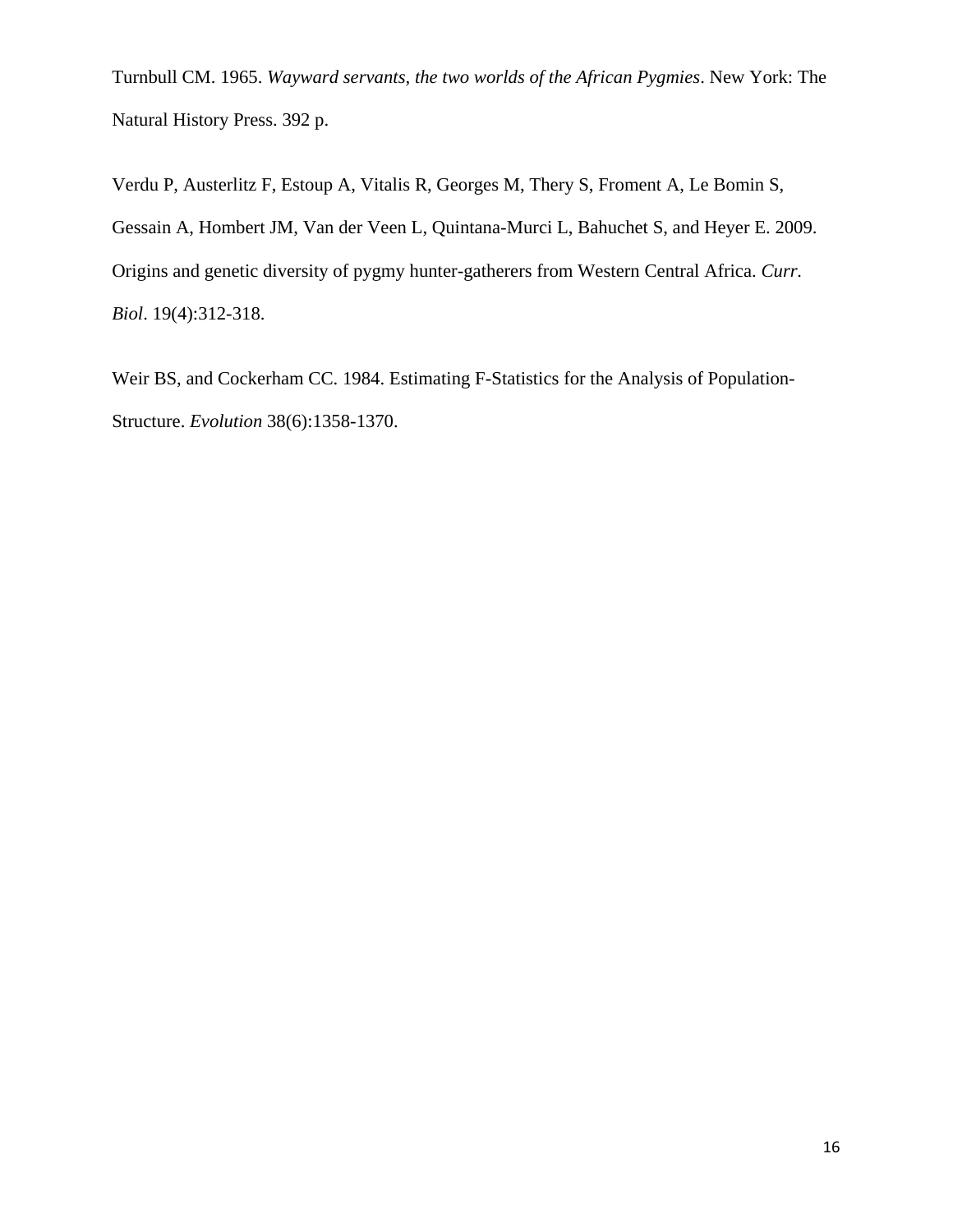Turnbull CM. 1965. *Wayward servants, the two worlds of the African Pygmies*. New York: The Natural History Press. 392 p.

Verdu P, Austerlitz F, Estoup A, Vitalis R, Georges M, Thery S, Froment A, Le Bomin S, Gessain A, Hombert JM, Van der Veen L, Quintana-Murci L, Bahuchet S, and Heyer E. 2009. Origins and genetic diversity of pygmy hunter-gatherers from Western Central Africa. *Curr. Biol*. 19(4):312-318.

Weir BS, and Cockerham CC. 1984. Estimating F-Statistics for the Analysis of Population-Structure. *Evolution* 38(6):1358-1370.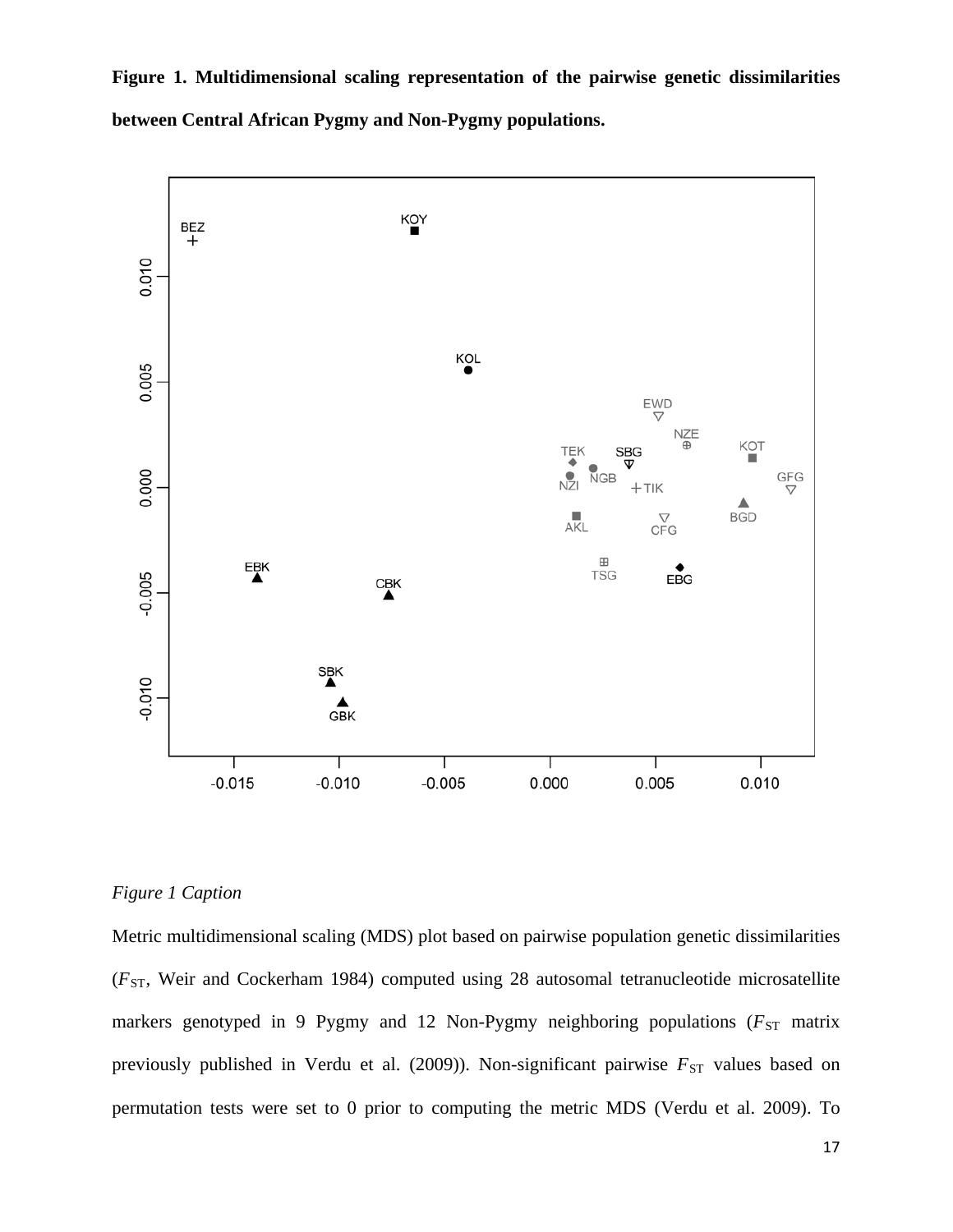**Figure 1. Multidimensional scaling representation of the pairwise genetic dissimilarities between Central African Pygmy and Non-Pygmy populations.**



#### *Figure 1 Caption*

Metric multidimensional scaling (MDS) plot based on pairwise population genetic dissimilarities ( $F_{ST}$ , Weir and Cockerham 1984) computed using 28 autosomal tetranucleotide microsatellite markers genotyped in 9 Pygmy and 12 Non-Pygmy neighboring populations ( $F_{ST}$  matrix previously published in Verdu et al. (2009)). Non-significant pairwise  $F_{ST}$  values based on permutation tests were set to 0 prior to computing the metric MDS (Verdu et al. 2009). To